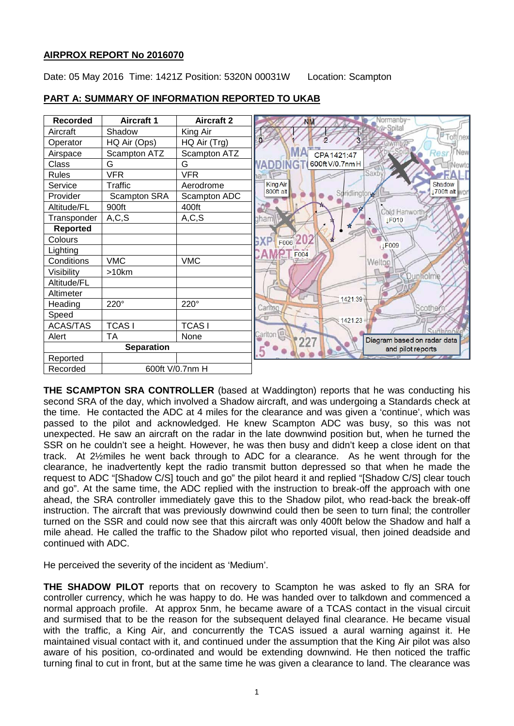## **AIRPROX REPORT No 2016070**

Date: 05 May 2016 Time: 1421Z Position: 5320N 00031W Location: Scampton



# **PART A: SUMMARY OF INFORMATION REPORTED TO UKAB**

**THE SCAMPTON SRA CONTROLLER** (based at Waddington) reports that he was conducting his second SRA of the day, which involved a Shadow aircraft, and was undergoing a Standards check at the time. He contacted the ADC at 4 miles for the clearance and was given a 'continue', which was passed to the pilot and acknowledged. He knew Scampton ADC was busy, so this was not unexpected. He saw an aircraft on the radar in the late downwind position but, when he turned the SSR on he couldn't see a height. However, he was then busy and didn't keep a close ident on that track. At 2½miles he went back through to ADC for a clearance. As he went through for the clearance, he inadvertently kept the radio transmit button depressed so that when he made the request to ADC "[Shadow C/S] touch and go" the pilot heard it and replied "[Shadow C/S] clear touch and go". At the same time, the ADC replied with the instruction to break-off the approach with one ahead, the SRA controller immediately gave this to the Shadow pilot, who read-back the break-off instruction. The aircraft that was previously downwind could then be seen to turn final; the controller turned on the SSR and could now see that this aircraft was only 400ft below the Shadow and half a mile ahead. He called the traffic to the Shadow pilot who reported visual, then joined deadside and continued with ADC.

He perceived the severity of the incident as 'Medium'.

**THE SHADOW PILOT** reports that on recovery to Scampton he was asked to fly an SRA for controller currency, which he was happy to do. He was handed over to talkdown and commenced a normal approach profile. At approx 5nm, he became aware of a TCAS contact in the visual circuit and surmised that to be the reason for the subsequent delayed final clearance. He became visual with the traffic, a King Air, and concurrently the TCAS issued a aural warning against it. He maintained visual contact with it, and continued under the assumption that the King Air pilot was also aware of his position, co-ordinated and would be extending downwind. He then noticed the traffic turning final to cut in front, but at the same time he was given a clearance to land. The clearance was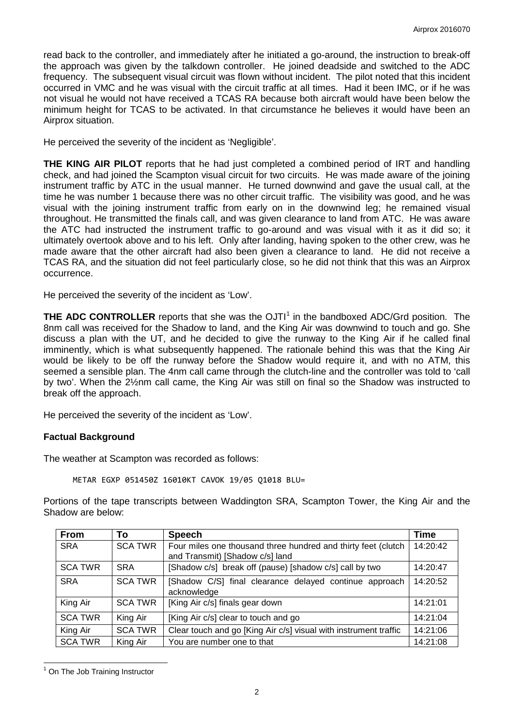read back to the controller, and immediately after he initiated a go-around, the instruction to break-off the approach was given by the talkdown controller. He joined deadside and switched to the ADC frequency. The subsequent visual circuit was flown without incident. The pilot noted that this incident occurred in VMC and he was visual with the circuit traffic at all times. Had it been IMC, or if he was not visual he would not have received a TCAS RA because both aircraft would have been below the minimum height for TCAS to be activated. In that circumstance he believes it would have been an Airprox situation.

He perceived the severity of the incident as 'Negligible'.

**THE KING AIR PILOT** reports that he had just completed a combined period of IRT and handling check, and had joined the Scampton visual circuit for two circuits. He was made aware of the joining instrument traffic by ATC in the usual manner. He turned downwind and gave the usual call, at the time he was number 1 because there was no other circuit traffic. The visibility was good, and he was visual with the joining instrument traffic from early on in the downwind leg; he remained visual throughout. He transmitted the finals call, and was given clearance to land from ATC. He was aware the ATC had instructed the instrument traffic to go-around and was visual with it as it did so; it ultimately overtook above and to his left. Only after landing, having spoken to the other crew, was he made aware that the other aircraft had also been given a clearance to land. He did not receive a TCAS RA, and the situation did not feel particularly close, so he did not think that this was an Airprox occurrence.

He perceived the severity of the incident as 'Low'.

**THE ADC CONTROLLER** reports that she was the OJTI<sup>[1](#page-1-0)</sup> in the bandboxed ADC/Grd position. The 8nm call was received for the Shadow to land, and the King Air was downwind to touch and go. She discuss a plan with the UT, and he decided to give the runway to the King Air if he called final imminently, which is what subsequently happened. The rationale behind this was that the King Air would be likely to be off the runway before the Shadow would require it, and with no ATM, this seemed a sensible plan. The 4nm call came through the clutch-line and the controller was told to 'call by two'. When the 2½nm call came, the King Air was still on final so the Shadow was instructed to break off the approach.

He perceived the severity of the incident as 'Low'.

#### **Factual Background**

The weather at Scampton was recorded as follows:

METAR EGXP 051450Z 16010KT CAVOK 19/05 Q1018 BLU=

Portions of the tape transcripts between Waddington SRA, Scampton Tower, the King Air and the Shadow are below:

| <b>From</b>    | То             | <b>Speech</b>                                                    | Time     |
|----------------|----------------|------------------------------------------------------------------|----------|
| <b>SRA</b>     | <b>SCA TWR</b> | Four miles one thousand three hundred and thirty feet (clutch    | 14:20:42 |
|                |                | and Transmit) [Shadow c/s] land                                  |          |
| <b>SCA TWR</b> | <b>SRA</b>     | [Shadow c/s] break off (pause) [shadow c/s] call by two          | 14:20:47 |
| <b>SRA</b>     | <b>SCA TWR</b> | [Shadow C/S] final clearance delayed continue approach           | 14:20:52 |
|                |                | acknowledge                                                      |          |
| King Air       | <b>SCA TWR</b> | [King Air c/s] finals gear down                                  | 14:21:01 |
| <b>SCA TWR</b> | King Air       | [King Air c/s] clear to touch and go                             | 14:21:04 |
| King Air       | <b>SCA TWR</b> | Clear touch and go [King Air c/s] visual with instrument traffic | 14:21:06 |
| <b>SCA TWR</b> | King Air       | You are number one to that                                       | 14:21:08 |

<span id="page-1-0"></span><sup>&</sup>lt;sup>1</sup> On The Job Training Instructor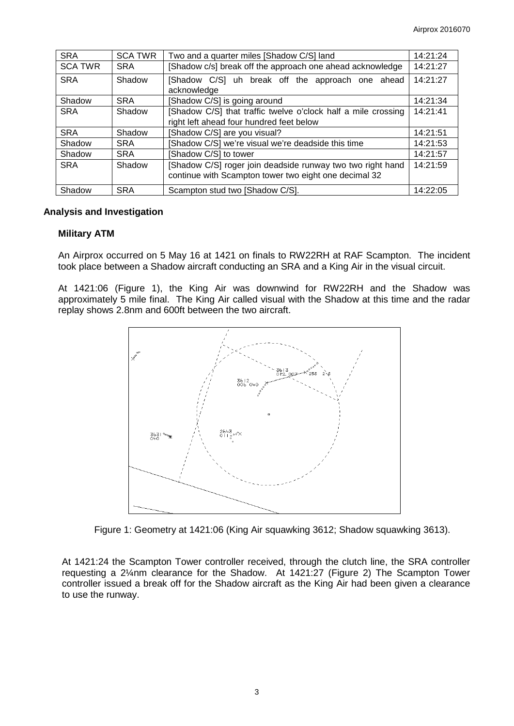| <b>SRA</b>     | <b>SCA TWR</b> | Two and a quarter miles [Shadow C/S] land                     | 14:21:24 |
|----------------|----------------|---------------------------------------------------------------|----------|
| <b>SCA TWR</b> | <b>SRA</b>     | [Shadow c/s] break off the approach one ahead acknowledge     | 14:21:27 |
| <b>SRA</b>     | Shadow         | [Shadow C/S] uh break off the approach one ahead              | 14:21:27 |
|                |                | acknowledge                                                   |          |
| Shadow         | <b>SRA</b>     | [Shadow C/S] is going around                                  | 14:21:34 |
| <b>SRA</b>     | Shadow         | [Shadow C/S] that traffic twelve o'clock half a mile crossing | 14:21:41 |
|                |                | right left ahead four hundred feet below                      |          |
| <b>SRA</b>     | Shadow         | Shadow C/S] are you visual?                                   | 14:21:51 |
| Shadow         | <b>SRA</b>     | Shadow C/S] we're visual we're deadside this time             | 14:21:53 |
| Shadow         | <b>SRA</b>     | Shadow C/S] to tower                                          | 14:21:57 |
| <b>SRA</b>     | Shadow         | [Shadow C/S] roger join deadside runway two two right hand    | 14:21:59 |
|                |                | continue with Scampton tower two eight one decimal 32         |          |
| Shadow         | <b>SRA</b>     | Scampton stud two [Shadow C/S].                               | 14:22:05 |

#### **Analysis and Investigation**

#### **Military ATM**

An Airprox occurred on 5 May 16 at 1421 on finals to RW22RH at RAF Scampton. The incident took place between a Shadow aircraft conducting an SRA and a King Air in the visual circuit.

At 1421:06 (Figure 1), the King Air was downwind for RW22RH and the Shadow was approximately 5 mile final. The King Air called visual with the Shadow at this time and the radar replay shows 2.8nm and 600ft between the two aircraft.



Figure 1: Geometry at 1421:06 (King Air squawking 3612; Shadow squawking 3613).

At 1421:24 the Scampton Tower controller received, through the clutch line, the SRA controller requesting a 2¼nm clearance for the Shadow. At 1421:27 (Figure 2) The Scampton Tower controller issued a break off for the Shadow aircraft as the King Air had been given a clearance to use the runway.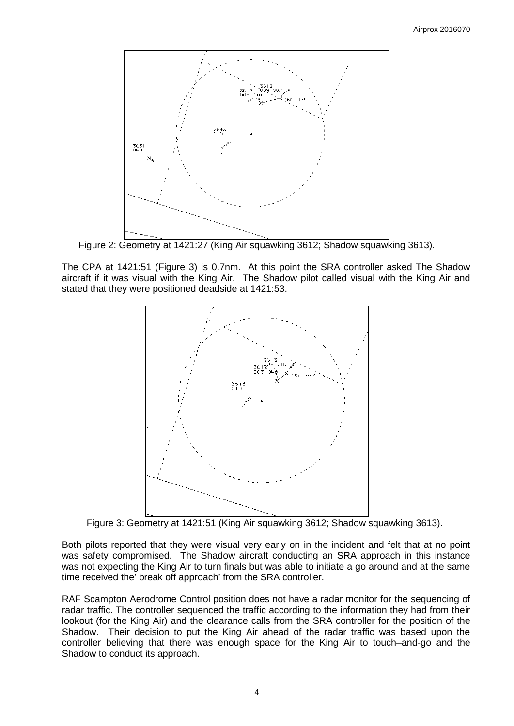

Figure 2: Geometry at 1421:27 (King Air squawking 3612; Shadow squawking 3613).

The CPA at 1421:51 (Figure 3) is 0.7nm. At this point the SRA controller asked The Shadow aircraft if it was visual with the King Air. The Shadow pilot called visual with the King Air and stated that they were positioned deadside at 1421:53.



Figure 3: Geometry at 1421:51 (King Air squawking 3612; Shadow squawking 3613).

Both pilots reported that they were visual very early on in the incident and felt that at no point was safety compromised. The Shadow aircraft conducting an SRA approach in this instance was not expecting the King Air to turn finals but was able to initiate a go around and at the same time received the' break off approach' from the SRA controller.

RAF Scampton Aerodrome Control position does not have a radar monitor for the sequencing of radar traffic. The controller sequenced the traffic according to the information they had from their lookout (for the King Air) and the clearance calls from the SRA controller for the position of the Shadow. Their decision to put the King Air ahead of the radar traffic was based upon the controller believing that there was enough space for the King Air to touch–and-go and the Shadow to conduct its approach.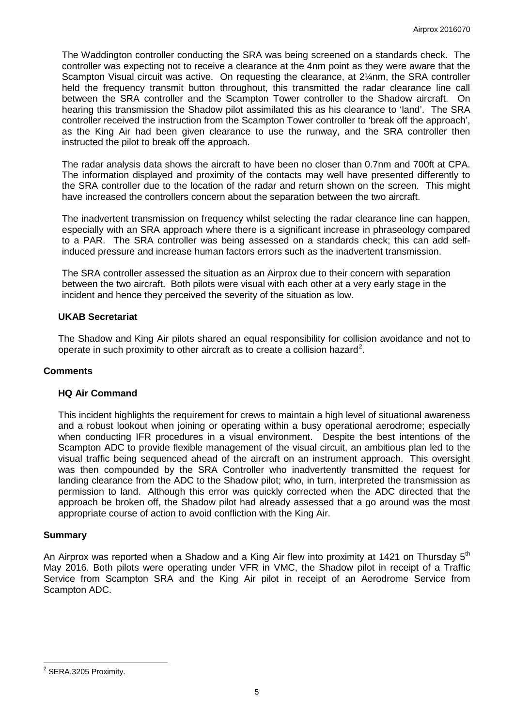The Waddington controller conducting the SRA was being screened on a standards check. The controller was expecting not to receive a clearance at the 4nm point as they were aware that the Scampton Visual circuit was active. On requesting the clearance, at 2¼nm, the SRA controller held the frequency transmit button throughout, this transmitted the radar clearance line call between the SRA controller and the Scampton Tower controller to the Shadow aircraft. On hearing this transmission the Shadow pilot assimilated this as his clearance to 'land'. The SRA controller received the instruction from the Scampton Tower controller to 'break off the approach', as the King Air had been given clearance to use the runway, and the SRA controller then instructed the pilot to break off the approach.

The radar analysis data shows the aircraft to have been no closer than 0.7nm and 700ft at CPA. The information displayed and proximity of the contacts may well have presented differently to the SRA controller due to the location of the radar and return shown on the screen. This might have increased the controllers concern about the separation between the two aircraft.

The inadvertent transmission on frequency whilst selecting the radar clearance line can happen, especially with an SRA approach where there is a significant increase in phraseology compared to a PAR. The SRA controller was being assessed on a standards check; this can add selfinduced pressure and increase human factors errors such as the inadvertent transmission.

The SRA controller assessed the situation as an Airprox due to their concern with separation between the two aircraft. Both pilots were visual with each other at a very early stage in the incident and hence they perceived the severity of the situation as low.

#### **UKAB Secretariat**

The Shadow and King Air pilots shared an equal responsibility for collision avoidance and not to operate in such proximity to other aircraft as to create a collision hazard<sup>[2](#page-4-0)</sup>.

#### **Comments**

#### **HQ Air Command**

This incident highlights the requirement for crews to maintain a high level of situational awareness and a robust lookout when joining or operating within a busy operational aerodrome; especially when conducting IFR procedures in a visual environment. Despite the best intentions of the Scampton ADC to provide flexible management of the visual circuit, an ambitious plan led to the visual traffic being sequenced ahead of the aircraft on an instrument approach. This oversight was then compounded by the SRA Controller who inadvertently transmitted the request for landing clearance from the ADC to the Shadow pilot; who, in turn, interpreted the transmission as permission to land. Although this error was quickly corrected when the ADC directed that the approach be broken off, the Shadow pilot had already assessed that a go around was the most appropriate course of action to avoid confliction with the King Air.

#### **Summary**

An Airprox was reported when a Shadow and a King Air flew into proximity at 1421 on Thursday  $5<sup>th</sup>$ May 2016. Both pilots were operating under VFR in VMC, the Shadow pilot in receipt of a Traffic Service from Scampton SRA and the King Air pilot in receipt of an Aerodrome Service from Scampton ADC.

<span id="page-4-0"></span><sup>&</sup>lt;sup>2</sup> SERA.3205 Proximity.